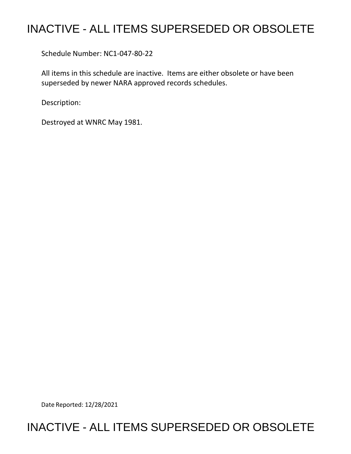## INACTIVE - ALL ITEMS SUPERSEDED OR OBSOLETE

Schedule Number: NC1-047-80-22

 All items in this schedule are inactive. Items are either obsolete or have been superseded by newer NARA approved records schedules.

Description:

Destroyed at WNRC May 1981.

Date Reported: 12/28/2021

## INACTIVE - ALL ITEMS SUPERSEDED OR OBSOLETE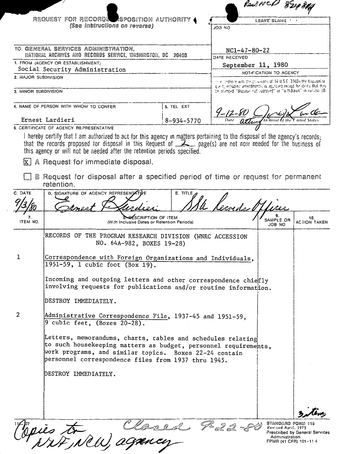|                                                                                                     |                                                                                                                                                                                                                                                                                                                                                                                                                                                           |                                                                                                                                   |                                                                                                                                        | Read NCP                                                                             |                                |
|-----------------------------------------------------------------------------------------------------|-----------------------------------------------------------------------------------------------------------------------------------------------------------------------------------------------------------------------------------------------------------------------------------------------------------------------------------------------------------------------------------------------------------------------------------------------------------|-----------------------------------------------------------------------------------------------------------------------------------|----------------------------------------------------------------------------------------------------------------------------------------|--------------------------------------------------------------------------------------|--------------------------------|
|                                                                                                     | REQUEST FOR RECORDS SPOSITION AUTHORITY<br>(See Instructions on reverse)                                                                                                                                                                                                                                                                                                                                                                                  |                                                                                                                                   | ON 60L                                                                                                                                 | leave blank                                                                          |                                |
| TO: GENERAL SERVICES ADMINISTRATION,<br>NATIONAL ARCHIVES AND RECORDS SERVICE, WASHINGTON, DC 20408 |                                                                                                                                                                                                                                                                                                                                                                                                                                                           |                                                                                                                                   | $NC1 - 47 - 80 - 22$<br>DATE RECEIVED                                                                                                  |                                                                                      |                                |
| 1. FROM (AGENCY OR ESTABLISHMENT)<br>Social Security Administration                                 |                                                                                                                                                                                                                                                                                                                                                                                                                                                           |                                                                                                                                   | September 11, 1980                                                                                                                     |                                                                                      |                                |
| 2. MAJOR SUBDIVISION                                                                                |                                                                                                                                                                                                                                                                                                                                                                                                                                                           |                                                                                                                                   | NOTIFICATION TO AGENCY<br>the condance with the provisions of 44 U.S.C. 3303a the dispusal re-                                         |                                                                                      |                                |
| 3. MINOR SUBDIVISION                                                                                |                                                                                                                                                                                                                                                                                                                                                                                                                                                           |                                                                                                                                   | quest, including amendments, is approved except for items that may<br>be stamped "disposal not approved" or "withdrawn" in culsion 10. |                                                                                      |                                |
|                                                                                                     | 4. NAME OF PERSON WITH WHOM TO CONFER                                                                                                                                                                                                                                                                                                                                                                                                                     | 5. TEL EXT                                                                                                                        |                                                                                                                                        |                                                                                      |                                |
| Ernest Lardieri<br>$8 - 934 - 5770$<br>6. CERTIFICATE OF AGENCY REPRESENTATIVE                      |                                                                                                                                                                                                                                                                                                                                                                                                                                                           |                                                                                                                                   |                                                                                                                                        |                                                                                      |                                |
| lx I                                                                                                | I hereby certify that I am authorized to act for this agency in matters pertaining to the disposal of the agency's records;<br>that the records proposed for disposal in this Request of $\mathbb{Z}$ page(s) are not now needed for the business of<br>this agency or will not be needed after the retention periods specified.<br>A Request for immediate disposal.<br>B Request for disposal after a specified period of time or request for permanent |                                                                                                                                   |                                                                                                                                        |                                                                                      |                                |
|                                                                                                     | retention.                                                                                                                                                                                                                                                                                                                                                                                                                                                |                                                                                                                                   |                                                                                                                                        |                                                                                      |                                |
| C. DATE                                                                                             | D. SIGNATURE OF AGENCY REPRESENTATIVE                                                                                                                                                                                                                                                                                                                                                                                                                     | <b>E. TITLE A</b>                                                                                                                 |                                                                                                                                        |                                                                                      |                                |
|                                                                                                     |                                                                                                                                                                                                                                                                                                                                                                                                                                                           |                                                                                                                                   | erords                                                                                                                                 |                                                                                      |                                |
| 7.<br>ITEM NO.                                                                                      | ESCRIPTION OF ITEM<br>(With Inclusive Dates or Retention Periods)                                                                                                                                                                                                                                                                                                                                                                                         |                                                                                                                                   |                                                                                                                                        | SAMPLE OR<br>JOB NO                                                                  | 10.<br><b>ACTION TAKEN</b>     |
|                                                                                                     | RECORDS OF THE PROGRAM RESEARCH DIVISION (WNRC ACCESSION<br>NO. 64A-982, BOXES 19-28)                                                                                                                                                                                                                                                                                                                                                                     |                                                                                                                                   |                                                                                                                                        |                                                                                      |                                |
| 1                                                                                                   | Correspondence with Foreign Organizations and Individuals,<br>1951-59, 1 cubic foot (Box 19).                                                                                                                                                                                                                                                                                                                                                             |                                                                                                                                   |                                                                                                                                        |                                                                                      |                                |
|                                                                                                     |                                                                                                                                                                                                                                                                                                                                                                                                                                                           | Incoming and outgoing letters and other correspondence chiefly<br>involving requests for publications and/or routine information. |                                                                                                                                        |                                                                                      |                                |
|                                                                                                     | DESTROY IMMEDIATELY.                                                                                                                                                                                                                                                                                                                                                                                                                                      |                                                                                                                                   |                                                                                                                                        |                                                                                      |                                |
| 2                                                                                                   | Administrative Correspondence File, 1937-45 and 1951-59,<br>9 cubic feet, (Boxes 20-28).                                                                                                                                                                                                                                                                                                                                                                  |                                                                                                                                   |                                                                                                                                        |                                                                                      |                                |
|                                                                                                     | Letters, memorandums, charts, tables and schedules relating<br>to such housekeeping matters as budget, personnel requirements,<br>work programs, and similar topics. Boxes 22-24 contain<br>personnel correspondence files from 1937 thru 1945.                                                                                                                                                                                                           |                                                                                                                                   |                                                                                                                                        |                                                                                      |                                |
|                                                                                                     | DESTROY IMMEDIATELY.                                                                                                                                                                                                                                                                                                                                                                                                                                      |                                                                                                                                   |                                                                                                                                        |                                                                                      |                                |
|                                                                                                     |                                                                                                                                                                                                                                                                                                                                                                                                                                                           |                                                                                                                                   |                                                                                                                                        |                                                                                      |                                |
|                                                                                                     | opies to Closed 9-22-80                                                                                                                                                                                                                                                                                                                                                                                                                                   |                                                                                                                                   |                                                                                                                                        | Standard Form 115<br>Revised April, 1975<br>Administration<br>FPMR (41 CFR) 101-11.4 | Prescribed by General Services |